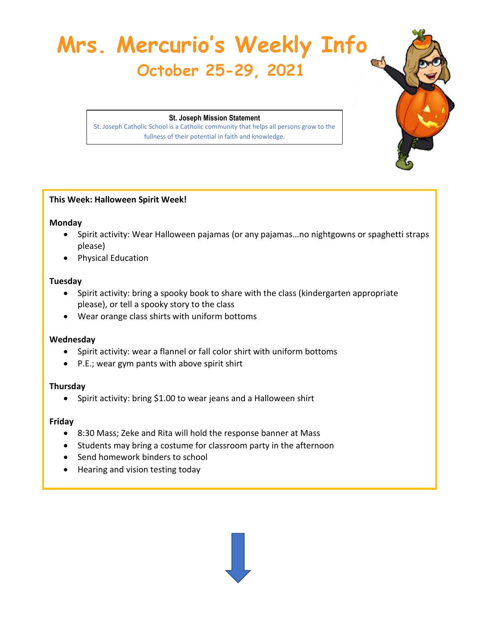# **Mrs. Mercurio's Weekly Info October 25-29, 2021**

**St. Joseph Mission Statement** St. Joseph Catholic School is a Catholic community that helps all persons grow to the fullness of their potential in faith and knowledge.

# **This Week: Halloween Spirit Week!**

#### **Monday**

- Spirit activity: Wear Halloween pajamas (or any pajamas…no nightgowns or spaghetti straps please)
- Physical Education

#### **Tuesday**

- Spirit activity: bring a spooky book to share with the class (kindergarten appropriate please), or tell a spooky story to the class
- Wear orange class shirts with uniform bottoms

# **Wednesday**

- Spirit activity: wear a flannel or fall color shirt with uniform bottoms
- P.E.; wear gym pants with above spirit shirt

# **Thursday**

• Spirit activity: bring \$1.00 to wear jeans and a Halloween shirt

# **Friday**

- 8:30 Mass; Zeke and Rita will hold the response banner at Mass
- Students may bring a costume for classroom party in the afternoon
- Send homework binders to school
- Hearing and vision testing today